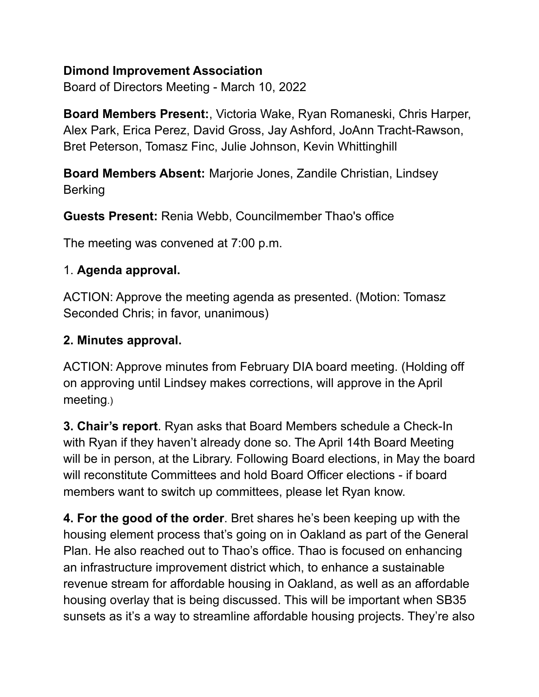### **Dimond Improvement Association**

Board of Directors Meeting - March 10, 2022

**Board Members Present:**, Victoria Wake, Ryan Romaneski, Chris Harper, Alex Park, Erica Perez, David Gross, Jay Ashford, JoAnn Tracht-Rawson, Bret Peterson, Tomasz Finc, Julie Johnson, Kevin Whittinghill

**Board Members Absent:** Marjorie Jones, Zandile Christian, Lindsey Berking

**Guests Present:** Renia Webb, Councilmember Thao's office

The meeting was convened at 7:00 p.m.

### 1. **Agenda approval.**

ACTION: Approve the meeting agenda as presented. (Motion: Tomasz Seconded Chris; in favor, unanimous)

### **2. Minutes approval.**

ACTION: Approve minutes from February DIA board meeting. (Holding off on approving until Lindsey makes corrections, will approve in the April meeting.)

**3. Chair's report**. Ryan asks that Board Members schedule a Check-In with Ryan if they haven't already done so. The April 14th Board Meeting will be in person, at the Library. Following Board elections, in May the board will reconstitute Committees and hold Board Officer elections - if board members want to switch up committees, please let Ryan know.

**4. For the good of the order**. Bret shares he's been keeping up with the housing element process that's going on in Oakland as part of the General Plan. He also reached out to Thao's office. Thao is focused on enhancing an infrastructure improvement district which, to enhance a sustainable revenue stream for affordable housing in Oakland, as well as an affordable housing overlay that is being discussed. This will be important when SB35 sunsets as it's a way to streamline affordable housing projects. They're also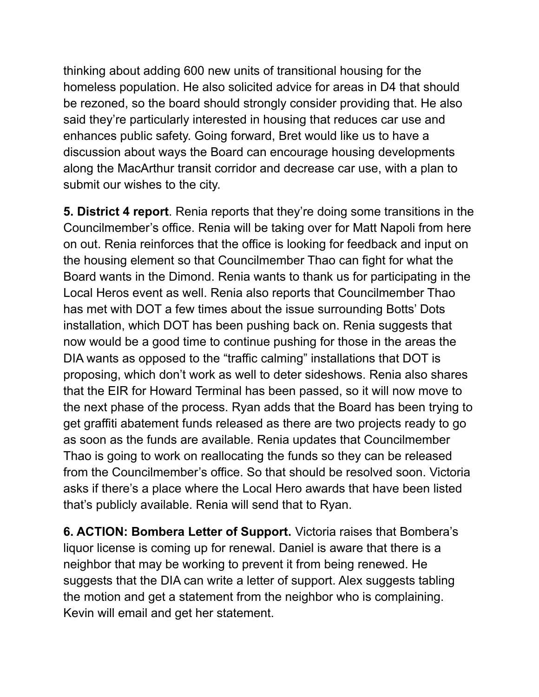thinking about adding 600 new units of transitional housing for the homeless population. He also solicited advice for areas in D4 that should be rezoned, so the board should strongly consider providing that. He also said they're particularly interested in housing that reduces car use and enhances public safety. Going forward, Bret would like us to have a discussion about ways the Board can encourage housing developments along the MacArthur transit corridor and decrease car use, with a plan to submit our wishes to the city.

**5. District 4 report**. Renia reports that they're doing some transitions in the Councilmember's office. Renia will be taking over for Matt Napoli from here on out. Renia reinforces that the office is looking for feedback and input on the housing element so that Councilmember Thao can fight for what the Board wants in the Dimond. Renia wants to thank us for participating in the Local Heros event as well. Renia also reports that Councilmember Thao has met with DOT a few times about the issue surrounding Botts' Dots installation, which DOT has been pushing back on. Renia suggests that now would be a good time to continue pushing for those in the areas the DIA wants as opposed to the "traffic calming" installations that DOT is proposing, which don't work as well to deter sideshows. Renia also shares that the EIR for Howard Terminal has been passed, so it will now move to the next phase of the process. Ryan adds that the Board has been trying to get graffiti abatement funds released as there are two projects ready to go as soon as the funds are available. Renia updates that Councilmember Thao is going to work on reallocating the funds so they can be released from the Councilmember's office. So that should be resolved soon. Victoria asks if there's a place where the Local Hero awards that have been listed that's publicly available. Renia will send that to Ryan.

**6. ACTION: Bombera Letter of Support.** Victoria raises that Bombera's liquor license is coming up for renewal. Daniel is aware that there is a neighbor that may be working to prevent it from being renewed. He suggests that the DIA can write a letter of support. Alex suggests tabling the motion and get a statement from the neighbor who is complaining. Kevin will email and get her statement.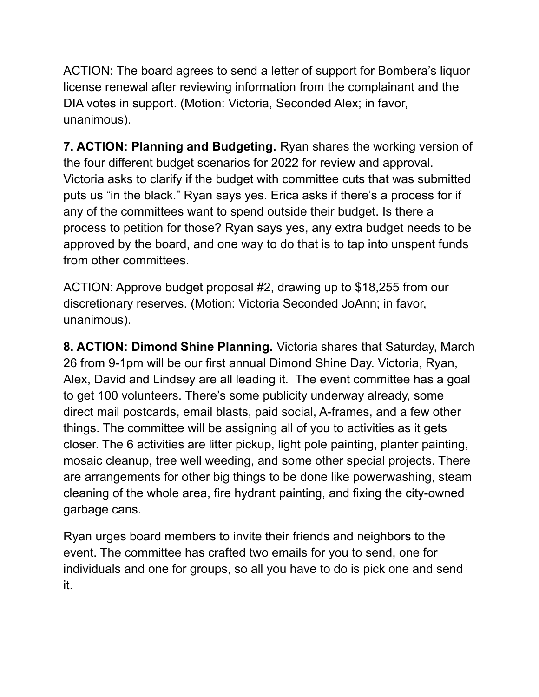ACTION: The board agrees to send a letter of support for Bombera's liquor license renewal after reviewing information from the complainant and the DIA votes in support. (Motion: Victoria, Seconded Alex; in favor, unanimous).

**7. ACTION: Planning and Budgeting.** Ryan shares the working version of the four different budget scenarios for 2022 for review and approval. Victoria asks to clarify if the budget with committee cuts that was submitted puts us "in the black." Ryan says yes. Erica asks if there's a process for if any of the committees want to spend outside their budget. Is there a process to petition for those? Ryan says yes, any extra budget needs to be approved by the board, and one way to do that is to tap into unspent funds from other committees.

ACTION: Approve budget proposal #2, drawing up to \$18,255 from our discretionary reserves. (Motion: Victoria Seconded JoAnn; in favor, unanimous).

**8. ACTION: Dimond Shine Planning.** Victoria shares that Saturday, March 26 from 9-1pm will be our first annual Dimond Shine Day. Victoria, Ryan, Alex, David and Lindsey are all leading it. The event committee has a goal to get 100 volunteers. There's some publicity underway already, some direct mail postcards, email blasts, paid social, A-frames, and a few other things. The committee will be assigning all of you to activities as it gets closer. The 6 activities are litter pickup, light pole painting, planter painting, mosaic cleanup, tree well weeding, and some other special projects. There are arrangements for other big things to be done like powerwashing, steam cleaning of the whole area, fire hydrant painting, and fixing the city-owned garbage cans.

Ryan urges board members to invite their friends and neighbors to the event. The committee has crafted two emails for you to send, one for individuals and one for groups, so all you have to do is pick one and send it.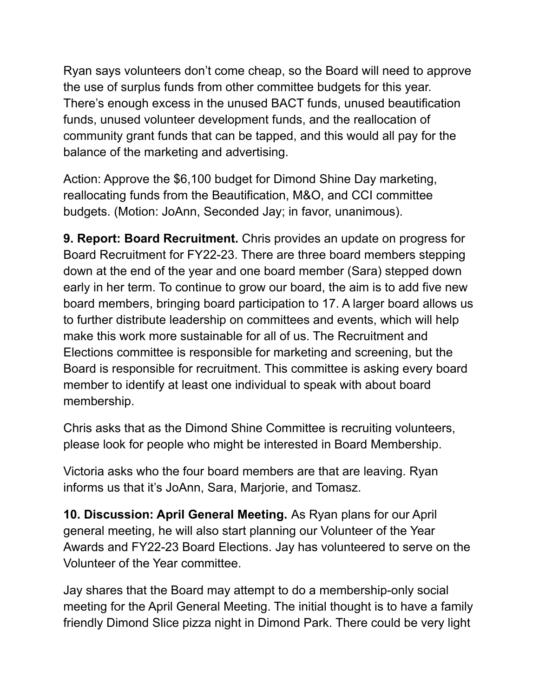Ryan says volunteers don't come cheap, so the Board will need to approve the use of surplus funds from other committee budgets for this year. There's enough excess in the unused BACT funds, unused beautification funds, unused volunteer development funds, and the reallocation of community grant funds that can be tapped, and this would all pay for the balance of the marketing and advertising.

Action: Approve the \$6,100 budget for Dimond Shine Day marketing, reallocating funds from the Beautification, M&O, and CCI committee budgets. (Motion: JoAnn, Seconded Jay; in favor, unanimous).

**9. Report: Board Recruitment.** Chris provides an update on progress for Board Recruitment for FY22-23. There are three board members stepping down at the end of the year and one board member (Sara) stepped down early in her term. To continue to grow our board, the aim is to add five new board members, bringing board participation to 17. A larger board allows us to further distribute leadership on committees and events, which will help make this work more sustainable for all of us. The Recruitment and Elections committee is responsible for marketing and screening, but the Board is responsible for recruitment. This committee is asking every board member to identify at least one individual to speak with about board membership.

Chris asks that as the Dimond Shine Committee is recruiting volunteers, please look for people who might be interested in Board Membership.

Victoria asks who the four board members are that are leaving. Ryan informs us that it's JoAnn, Sara, Marjorie, and Tomasz.

**10. Discussion: April General Meeting.** As Ryan plans for our April general meeting, he will also start planning our Volunteer of the Year Awards and FY22-23 Board Elections. Jay has volunteered to serve on the Volunteer of the Year committee.

Jay shares that the Board may attempt to do a membership-only social meeting for the April General Meeting. The initial thought is to have a family friendly Dimond Slice pizza night in Dimond Park. There could be very light